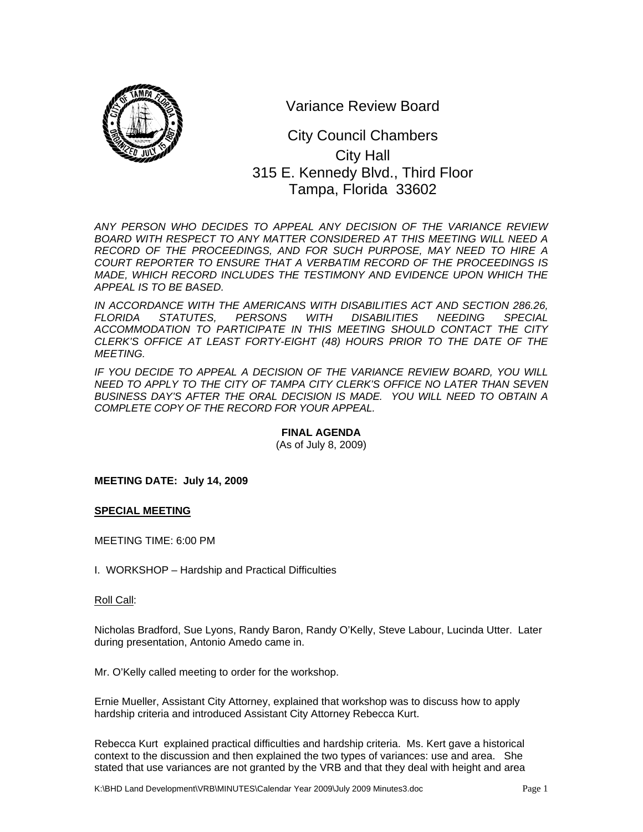

Variance Review Board

# 315 E. Kennedy Blvd., Third Floor City Council Chambers City Hall Tampa, Florida 33602

*ANY PERSON WHO DECIDES TO APPEAL ANY DECISION OF THE VARIANCE REVIEW BOARD WITH RESPECT TO ANY MATTER CONSIDERED AT THIS MEETING WILL NEED A RECORD OF THE PROCEEDINGS, AND FOR SUCH PURPOSE, MAY NEED TO HIRE A COURT REPORTER TO ENSURE THAT A VERBATIM RECORD OF THE PROCEEDINGS IS MADE, WHICH RECORD INCLUDES THE TESTIMONY AND EVIDENCE UPON WHICH THE APPEAL IS TO BE BASED.* 

*IN ACCORDANCE WITH THE AMERICANS WITH DISABILITIES ACT AND SECTION 286.26, FLORIDA STATUTES, PERSONS WITH DISABILITIES NEEDING SPECIAL ACCOMMODATION TO PARTICIPATE IN THIS MEETING SHOULD CONTACT THE CITY CLERK'S OFFICE AT LEAST FORTY-EIGHT (48) HOURS PRIOR TO THE DATE OF THE MEETING.* 

*IF YOU DECIDE TO APPEAL A DECISION OF THE VARIANCE REVIEW BOARD, YOU WILL NEED TO APPLY TO THE CITY OF TAMPA CITY CLERK'S OFFICE NO LATER THAN SEVEN BUSINESS DAY'S AFTER THE ORAL DECISION IS MADE. YOU WILL NEED TO OBTAIN A COMPLETE COPY OF THE RECORD FOR YOUR APPEAL.* 

# **FINAL AGENDA**

(As of July 8, 2009)

**MEETING DATE: July 14, 2009** 

#### **SPECIAL MEETING**

MEETING TIME: 6:00 PM

I. WORKSHOP – Hardship and Practical Difficulties

#### Roll Call:

Nicholas Bradford, Sue Lyons, Randy Baron, Randy O'Kelly, Steve Labour, Lucinda Utter. Later during presentation, Antonio Amedo came in.

Mr. O'Kelly called meeting to order for the workshop.

Ernie Mueller, Assistant City Attorney, explained that workshop was to discuss how to apply hardship criteria and introduced Assistant City Attorney Rebecca Kurt.

Rebecca Kurt explained practical difficulties and hardship criteria. Ms. Kert gave a historical context to the discussion and then explained the two types of variances: use and area. She stated that use variances are not granted by the VRB and that they deal with height and area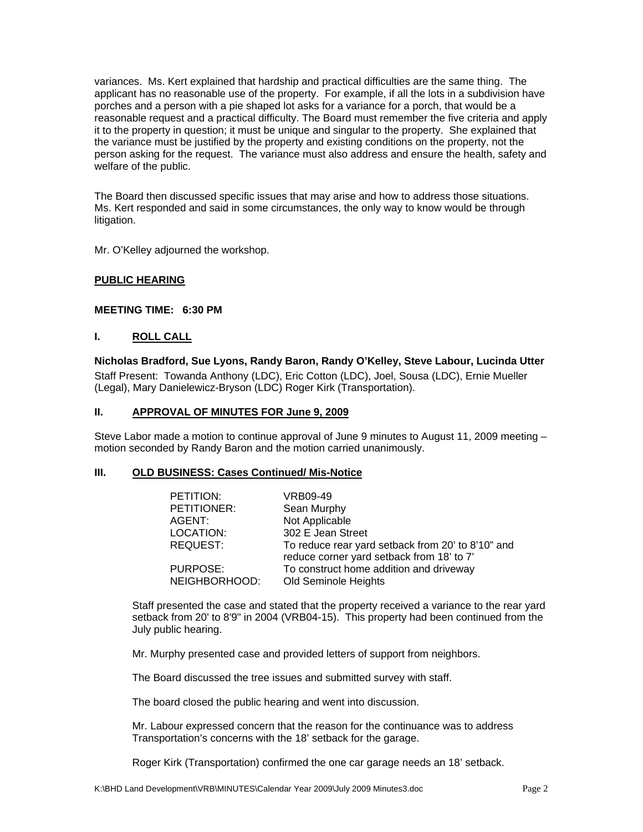variances. Ms. Kert explained that hardship and practical difficulties are the same thing. The applicant has no reasonable use of the property. For example, if all the lots in a subdivision have porches and a person with a pie shaped lot asks for a variance for a porch, that would be a reasonable request and a practical difficulty. The Board must remember the five criteria and apply it to the property in question; it must be unique and singular to the property. She explained that the variance must be justified by the property and existing conditions on the property, not the person asking for the request. The variance must also address and ensure the health, safety and welfare of the public.

The Board then discussed specific issues that may arise and how to address those situations. Ms. Kert responded and said in some circumstances, the only way to know would be through litigation.

Mr. O'Kelley adjourned the workshop.

## **PUBLIC HEARING**

#### **MEETING TIME: 6:30 PM**

#### **I. ROLL CALL**

**Nicholas Bradford, Sue Lyons, Randy Baron, Randy O'Kelley, Steve Labour, Lucinda Utter**  Staff Present: Towanda Anthony (LDC), Eric Cotton (LDC), Joel, Sousa (LDC), Ernie Mueller (Legal), Mary Danielewicz-Bryson (LDC) Roger Kirk (Transportation).

#### **II. APPROVAL OF MINUTES FOR June 9, 2009**

Steve Labor made a motion to continue approval of June 9 minutes to August 11, 2009 meeting – motion seconded by Randy Baron and the motion carried unanimously.

#### **III. OLD BUSINESS: Cases Continued/ Mis-Notice**

| PETITION:     | VRB09-49                                          |
|---------------|---------------------------------------------------|
| PETITIONER:   | Sean Murphy                                       |
| AGENT:        | Not Applicable                                    |
| LOCATION:     | 302 E Jean Street                                 |
| REQUEST:      | To reduce rear yard setback from 20' to 8'10" and |
|               | reduce corner yard setback from 18' to 7'         |
| PURPOSE:      | To construct home addition and driveway           |
| NEIGHBORHOOD: | Old Seminole Heights                              |

Staff presented the case and stated that the property received a variance to the rear yard setback from 20' to 8'9" in 2004 (VRB04-15). This property had been continued from the July public hearing.

Mr. Murphy presented case and provided letters of support from neighbors.

The Board discussed the tree issues and submitted survey with staff.

The board closed the public hearing and went into discussion.

Mr. Labour expressed concern that the reason for the continuance was to address Transportation's concerns with the 18' setback for the garage.

Roger Kirk (Transportation) confirmed the one car garage needs an 18' setback.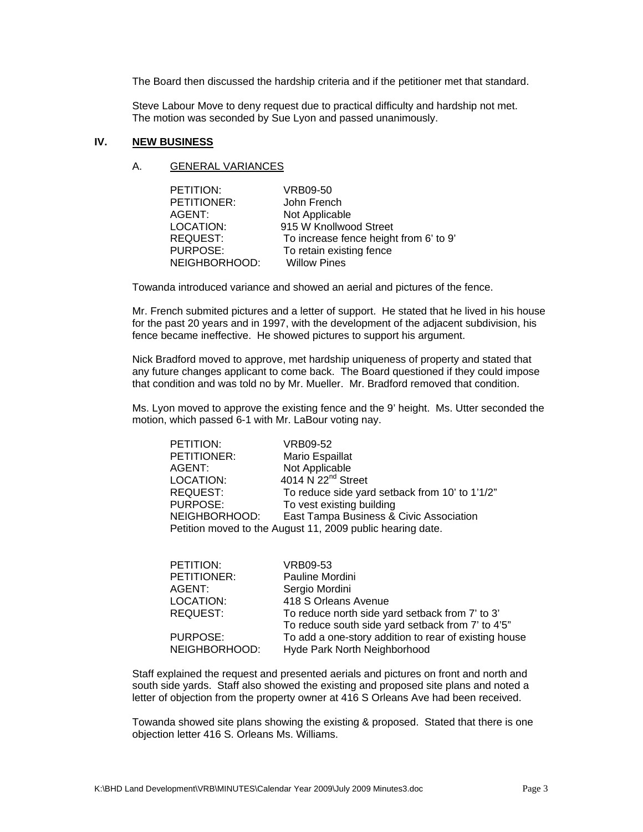The Board then discussed the hardship criteria and if the petitioner met that standard.

Steve Labour Move to deny request due to practical difficulty and hardship not met. The motion was seconded by Sue Lyon and passed unanimously.

#### **IV. NEW BUSINESS**

#### A. GENERAL VARIANCES

| PETITION:       | VRB09-50                               |
|-----------------|----------------------------------------|
| PETITIONER:     | John French                            |
| AGENT:          | Not Applicable                         |
| LOCATION:       | 915 W Knollwood Street                 |
| <b>REQUEST:</b> | To increase fence height from 6' to 9' |
| PURPOSE:        | To retain existing fence               |
| NEIGHBORHOOD:   | <b>Willow Pines</b>                    |

Towanda introduced variance and showed an aerial and pictures of the fence.

Mr. French submited pictures and a letter of support. He stated that he lived in his house for the past 20 years and in 1997, with the development of the adjacent subdivision, his fence became ineffective. He showed pictures to support his argument.

Nick Bradford moved to approve, met hardship uniqueness of property and stated that any future changes applicant to come back. The Board questioned if they could impose that condition and was told no by Mr. Mueller. Mr. Bradford removed that condition.

Ms. Lyon moved to approve the existing fence and the 9' height. Ms. Utter seconded the motion, which passed 6-1 with Mr. LaBour voting nay.

| PETITION:                                                  | VRB09-52                                       |  |
|------------------------------------------------------------|------------------------------------------------|--|
| PETITIONER:                                                | Mario Espaillat                                |  |
| AGENT:                                                     | Not Applicable                                 |  |
| LOCATION:                                                  | 4014 $N$ 22 <sup>nd</sup> Street               |  |
| REQUEST:                                                   | To reduce side yard setback from 10' to 1'1/2" |  |
| PURPOSE:                                                   | To vest existing building                      |  |
| NEIGHBORHOOD:                                              | East Tampa Business & Civic Association        |  |
| Petition moved to the August 11, 2009 public hearing date. |                                                |  |

| PETITION:       | VRB09-53                                              |
|-----------------|-------------------------------------------------------|
| PETITIONER:     | Pauline Mordini                                       |
| AGENT:          | Sergio Mordini                                        |
| LOCATION:       | 418 S Orleans Avenue                                  |
| <b>REQUEST:</b> | To reduce north side yard setback from 7' to 3'       |
|                 | To reduce south side yard setback from 7' to 4'5"     |
| PURPOSE:        | To add a one-story addition to rear of existing house |
| NEIGHBORHOOD:   | Hyde Park North Neighborhood                          |

Staff explained the request and presented aerials and pictures on front and north and south side yards. Staff also showed the existing and proposed site plans and noted a letter of objection from the property owner at 416 S Orleans Ave had been received.

Towanda showed site plans showing the existing & proposed. Stated that there is one objection letter 416 S. Orleans Ms. Williams.